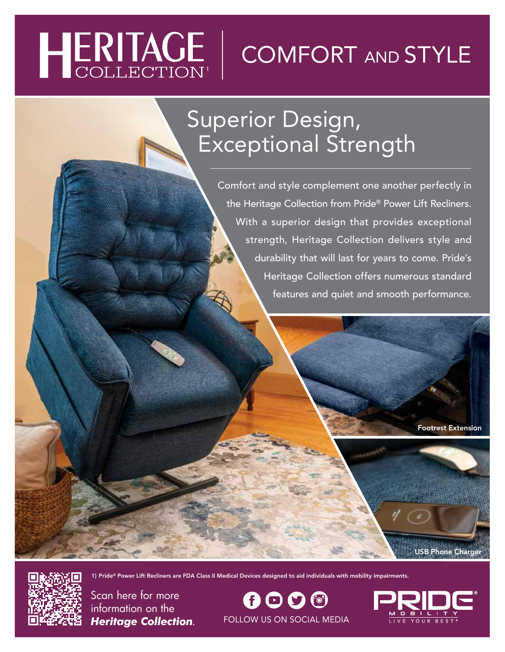# HERITAGE

# COMFORT AND STYLE

## Superior Design, Exceptional Strength

Comfort and style complement one another perfectly in the Heritage Collection from Pride® Power Lift Recliners. With a superior design that provides exceptional strength, Heritage Collection delivers style and durability that will last for years to come. Pride's Heritage Collection offers numerous standard features and quiet and smooth performance.

Footrest Extension

USB Phone Charger



Scan here for more information on the *Heritage Collection*.

 $\boldsymbol{\theta} \boldsymbol{\Theta} \boldsymbol{\Theta}$ FOLLOW US ON SOCIAL MEDIA

1) Pride® Power Lift Recliners are FDA Class II Medical Devices designed to aid individuals with mobility impairments.